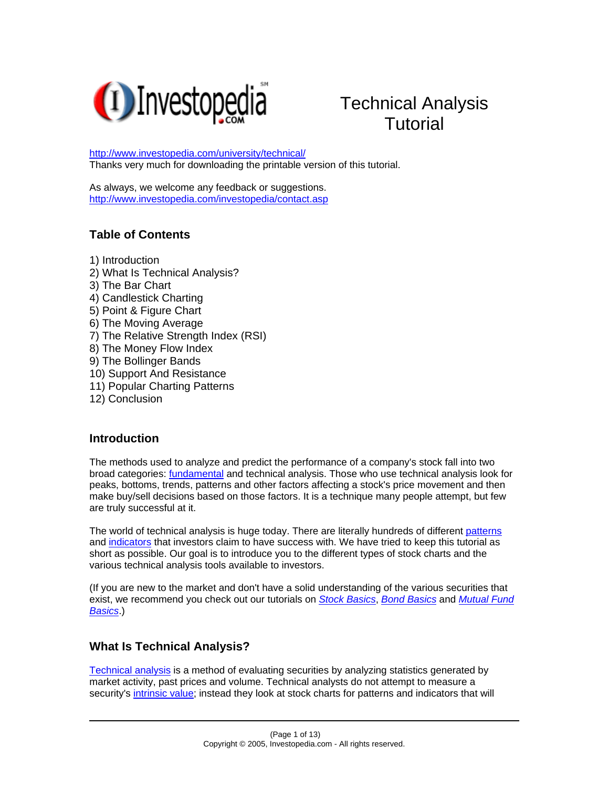

# Technical Analysis **Tutorial**

[http://www.investopedia.com/university/technical/](http://www.investopedia.com/university/broker/) Thanks very much for downloading the printable version of this tutorial.

As always, we welcome any feedback or suggestions. <http://www.investopedia.com/investopedia/contact.asp>

## **Table of Contents**

1) Introduction

- 2) What Is Technical Analysis?
- 3) The Bar Chart
- 4) Candlestick Charting
- 5) Point & Figure Chart
- 6) The Moving Average
- 7) The Relative Strength Index (RSI)
- 8) The Money Flow Index
- 9) The Bollinger Bands
- 10) Support And Resistance
- 11) Popular Charting Patterns
- 12) Conclusion

#### **Introduction**

The methods used to analyze and predict the performance of a company's stock fall into two broad categories: [fundamental](http://www.investopedia.com/terms/f/fundamentalanalysis.asp) and technical analysis. Those who use technical analysis look for peaks, bottoms, trends, patterns and other factors affecting a stock's price movement and then make buy/sell decisions based on those factors. It is a technique many people attempt, but few are truly successful at it.

The world of technical analysis is huge today. There are literally hundreds of different [patterns](http://www.investopedia.com/terms/p/pattern.asp) and [indicators](http://www.investopedia.com/terms/i/indicator.asp) that investors claim to have success with. We have tried to keep this tutorial as short as possible. Our goal is to introduce you to the different types of stock charts and the various technical analysis tools available to investors.

(If you are new to the market and don't have a solid understanding of the various securities that exist, we recommend you check out our tutorials on *[Stock Basics](http://www.investopedia.com/university/stocks/)*, *[Bond Basics](http://www.investopedia.com/university/bonds/)* and *[Mutual Fund](http://www.investopedia.com/university/mutualfunds/)  [Basics](http://www.investopedia.com/university/mutualfunds/)*.)

## **What Is Technical Analysis?**

[Technical analysis](http://www.investopedia.com/terms/t/technicalanalysis.asp) is a method of evaluating securities by analyzing statistics generated by market activity, past prices and volume. Technical analysts do not attempt to measure a security's [intrinsic value;](http://www.investopedia.com/terms/i/intrinsicvalue.asp) instead they look at stock charts for patterns and indicators that will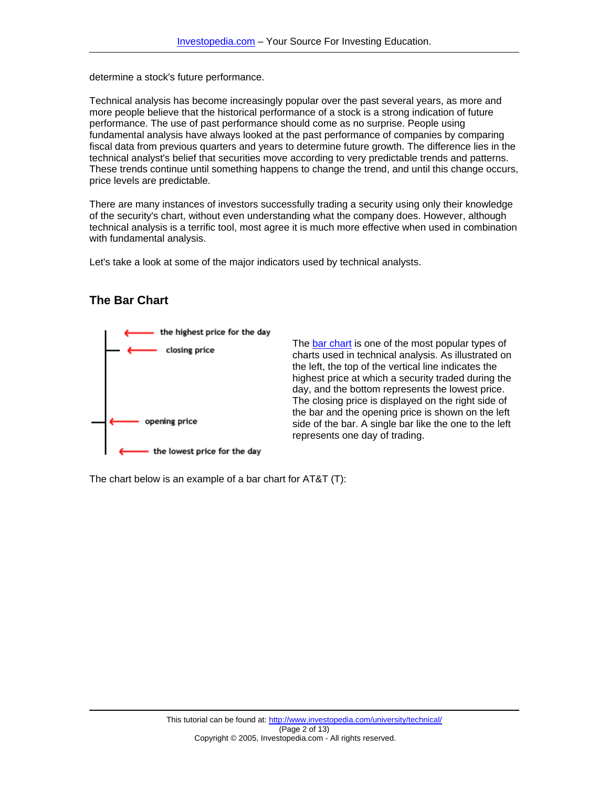determine a stock's future performance.

Technical analysis has become increasingly popular over the past several years, as more and more people believe that the historical performance of a stock is a strong indication of future performance. The use of past performance should come as no surprise. People using fundamental analysis have always looked at the past performance of companies by comparing fiscal data from previous quarters and years to determine future growth. The difference lies in the technical analyst's belief that securities move according to very predictable trends and patterns. These trends continue until something happens to change the trend, and until this change occurs, price levels are predictable.

There are many instances of investors successfully trading a security using only their knowledge of the security's chart, without even understanding what the company does. However, although technical analysis is a terrific tool, most agree it is much more effective when used in combination with fundamental analysis.

Let's take a look at some of the major indicators used by technical analysts.

#### **The Bar Chart**



The [bar chart](http://www.investopedia.com/terms/b/barchart.asp) is one of the most popular types of charts used in technical analysis. As illustrated on the left, the top of the vertical line indicates the highest price at which a security traded during the day, and the bottom represents the lowest price. The closing price is displayed on the right side of the bar and the opening price is shown on the left side of the bar. A single bar like the one to the left represents one day of trading.

The chart below is an example of a bar chart for AT&T (T):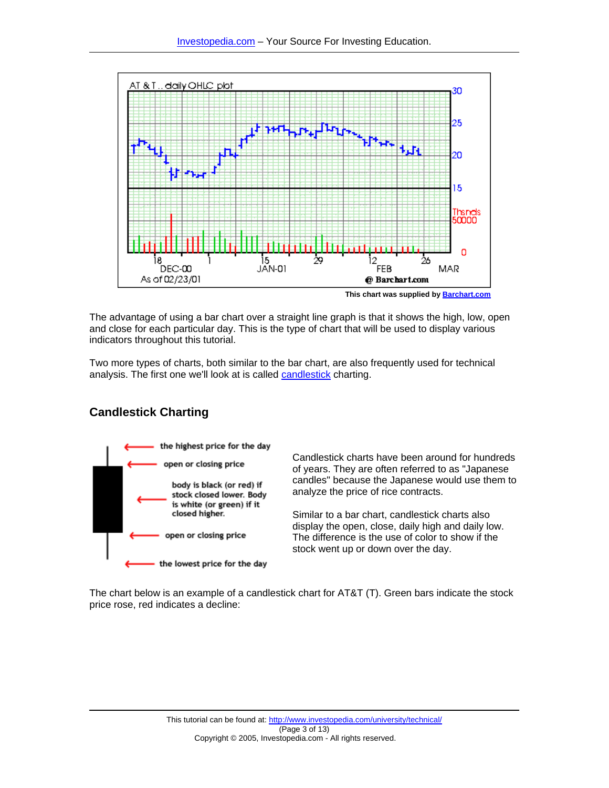

**This chart was supplied by [Barchart.com](http://www.barchart.com/)**

The advantage of using a bar chart over a straight line graph is that it shows the high, low, open and close for each particular day. This is the type of chart that will be used to display various indicators throughout this tutorial.

Two more types of charts, both similar to the bar chart, are also frequently used for technical analysis. The first one we'll look at is called [candlestick](http://www.investopedia.com/terms/c/candlestick.asp) charting.

# **Candlestick Charting**



Candlestick charts have been around for hundreds of years. They are often referred to as "Japanese candles" because the Japanese would use them to analyze the price of rice contracts.

Similar to a bar chart, candlestick charts also display the open, close, daily high and daily low. The difference is the use of color to show if the stock went up or down over the day.

The chart below is an example of a candlestick chart for AT&T (T). Green bars indicate the stock price rose, red indicates a decline: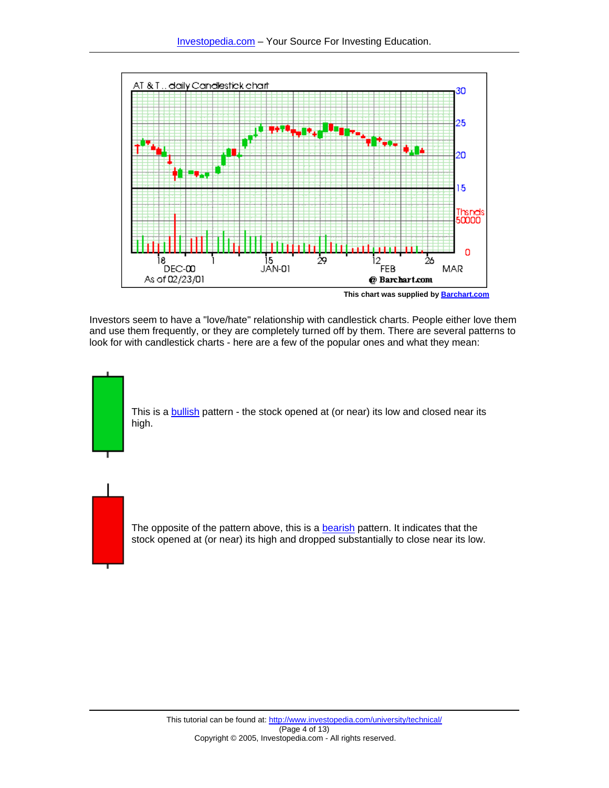

**This chart was supplied by [Barchart.com](http://www.barchart.com/)**

Investors seem to have a "love/hate" relationship with candlestick charts. People either love them and use them frequently, or they are completely turned off by them. There are several patterns to look for with candlestick charts - here are a few of the popular ones and what they mean:

This is a [bullish](http://www.investopedia.com/terms/b/bull.asp) pattern - the stock opened at (or near) its low and closed near its high.

The opposite of the pattern above, this is a [bearish](http://www.investopedia.com/terms/b/bear.asp) pattern. It indicates that the stock opened at (or near) its high and dropped substantially to close near its low.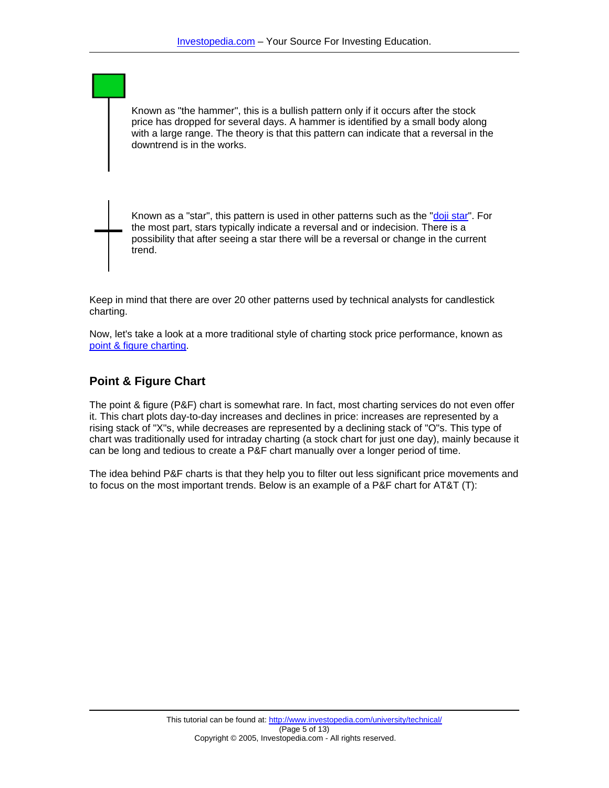Known as "the hammer", this is a bullish pattern only if it occurs after the stock price has dropped for several days. A hammer is identified by a small body along with a large range. The theory is that this pattern can indicate that a reversal in the downtrend is in the works.

Known as a "star", this pattern is used in other patterns such as the "[doji star"](http://www.investopedia.com/terms/d/doji.asp). For the most part, stars typically indicate a reversal and or indecision. There is a possibility that after seeing a star there will be a reversal or change in the current trend.

Keep in mind that there are over 20 other patterns used by technical analysts for candlestick charting.

Now, let's take a look at a more traditional style of charting stock price performance, known as [point & figure charting](http://www.investopedia.com/terms/p/pointandfigurechart.asp).

#### **Point & Figure Chart**

The point & figure (P&F) chart is somewhat rare. In fact, most charting services do not even offer it. This chart plots day-to-day increases and declines in price: increases are represented by a rising stack of "X"s, while decreases are represented by a declining stack of "O"s. This type of chart was traditionally used for intraday charting (a stock chart for just one day), mainly because it can be long and tedious to create a P&F chart manually over a longer period of time.

The idea behind P&F charts is that they help you to filter out less significant price movements and to focus on the most important trends. Below is an example of a P&F chart for AT&T (T):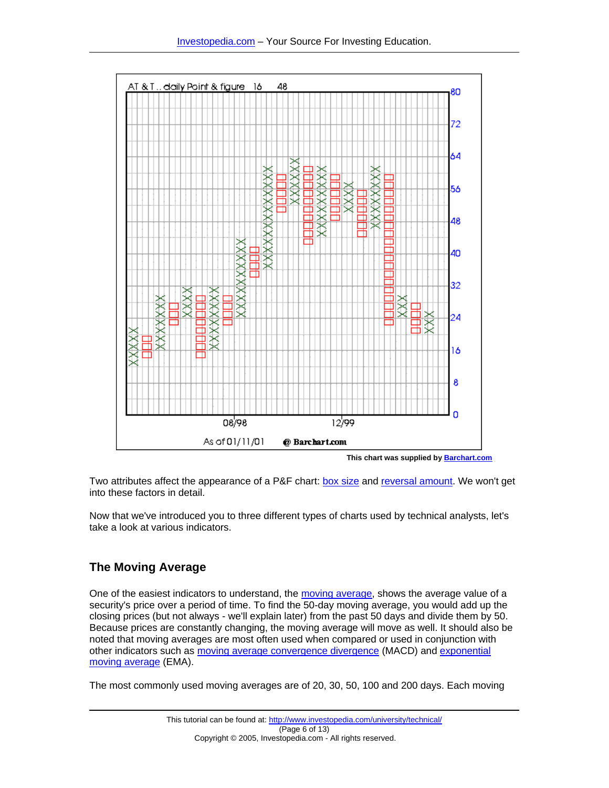

**This chart was supplied by [Barchart.com](http://www.barchart.com/)**

Two attributes affect the appearance of a P&F chart: [box size](http://www.investopedia.com/terms/b/boxsize.asp) and [reversal amount](http://www.investopedia.com/terms/r/reversalamount.asp). We won't get into these factors in detail.

Now that we've introduced you to three different types of charts used by technical analysts, let's take a look at various indicators.

# **The Moving Average**

One of the easiest indicators to understand, the [moving average](http://www.investopedia.com/terms/m/movingaverage.asp), shows the average value of a security's price over a period of time. To find the 50-day moving average, you would add up the closing prices (but not always - we'll explain later) from the past 50 days and divide them by 50. Because prices are constantly changing, the moving average will move as well. It should also be noted that moving averages are most often used when compared or used in conjunction with other indicators such as [moving average convergence divergence](http://www.investopedia.com/terms/m/macd.asp) (MACD) and [exponential](http://www.investopedia.com/terms/e/ema.asp)  [moving average](http://www.investopedia.com/terms/e/ema.asp) (EMA).

The most commonly used moving averages are of 20, 30, 50, 100 and 200 days. Each moving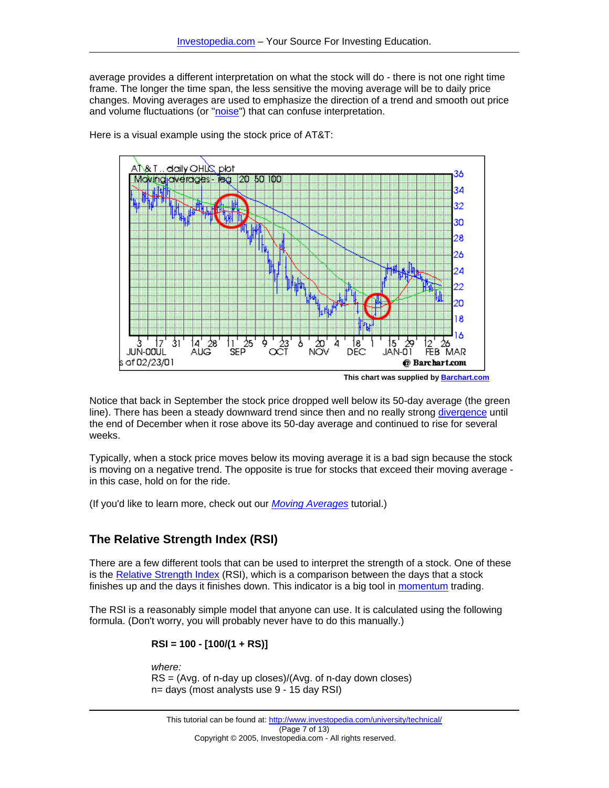average provides a different interpretation on what the stock will do - there is not one right time frame. The longer the time span, the less sensitive the moving average will be to daily price changes. Moving averages are used to emphasize the direction of a trend and smooth out price and volume fluctuations (or ["noise](http://www.investopedia.com/terms/n/noise.asp)") that can confuse interpretation.



Here is a visual example using the stock price of AT&T:

**This chart was supplied by [Barchart.com](http://www.barchart.com/)**

Notice that back in September the stock price dropped well below its 50-day average (the green line). There has been a steady downward trend since then and no really strong [divergence](http://www.investopedia.com/terms/d/divergence.asp) until the end of December when it rose above its 50-day average and continued to rise for several weeks.

Typically, when a stock price moves below its moving average it is a bad sign because the stock is moving on a negative trend. The opposite is true for stocks that exceed their moving average in this case, hold on for the ride.

(If you'd like to learn more, check out our *[Moving Averages](http://www.investopedia.com/university/movingaverage/default.asp)* tutorial.)

# **The Relative Strength Index (RSI)**

There are a few different tools that can be used to interpret the strength of a stock. One of these is the [Relative Strength Index](http://www.investopedia.com/terms/r/rsi.asp) (RSI), which is a comparison between the days that a stock finishes up and the days it finishes down. This indicator is a big tool in [momentum](http://www.investopedia.com/terms/m/momentum.asp) trading.

The RSI is a reasonably simple model that anyone can use. It is calculated using the following formula. (Don't worry, you will probably never have to do this manually.)

$$
RSI = 100 - [100/(1 + RS)]
$$

*where:*  RS = (Avg. of n-day up closes)/(Avg. of n-day down closes) n= days (most analysts use 9 - 15 day RSI)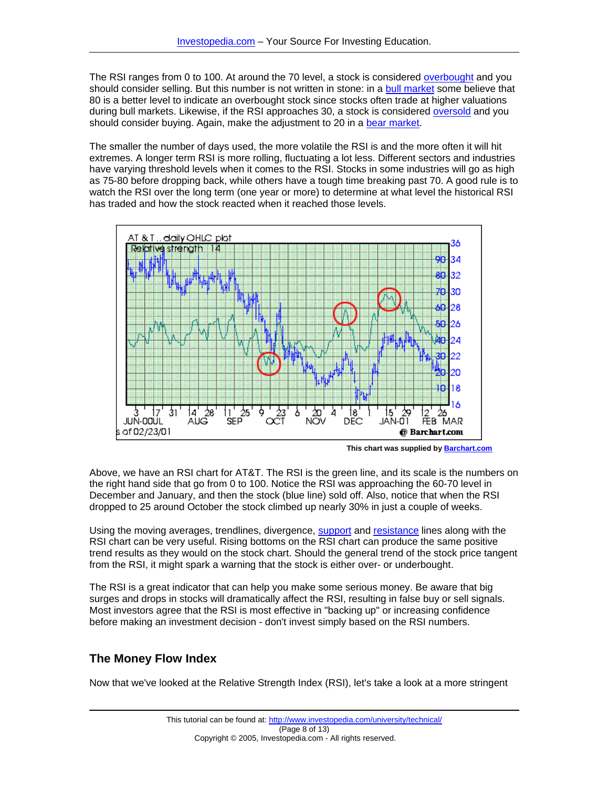The RSI ranges from 0 to 100. At around the 70 level, a stock is considered [overbought](http://www.investopedia.com/terms/o/overbought.asp) and you should consider selling. But this number is not written in stone: in a [bull market](http://www.investopedia.com/terms/b/bullmarket.asp) some believe that 80 is a better level to indicate an overbought stock since stocks often trade at higher valuations during bull markets. Likewise, if the RSI approaches 30, a stock is considered [oversold](http://www.investopedia.com/terms/o/oversold.asp) and you should consider buying. Again, make the adjustment to 20 in a [bear market.](http://www.investopedia.com/terms/b/bearmarket.asp)

The smaller the number of days used, the more volatile the RSI is and the more often it will hit extremes. A longer term RSI is more rolling, fluctuating a lot less. Different sectors and industries have varying threshold levels when it comes to the RSI. Stocks in some industries will go as high as 75-80 before dropping back, while others have a tough time breaking past 70. A good rule is to watch the RSI over the long term (one year or more) to determine at what level the historical RSI has traded and how the stock reacted when it reached those levels.



**This chart was supplied by [Barchart.com](http://www.barchart.com/)**

Above, we have an RSI chart for AT&T. The RSI is the green line, and its scale is the numbers on the right hand side that go from 0 to 100. Notice the RSI was approaching the 60-70 level in December and January, and then the stock (blue line) sold off. Also, notice that when the RSI dropped to 25 around October the stock climbed up nearly 30% in just a couple of weeks.

Using the moving averages, trendlines, divergence, [support](http://www.investopedia.com/terms/s/support.asp) and [resistance](http://www.investopedia.com/terms/r/resistance.asp) lines along with the RSI chart can be very useful. Rising bottoms on the RSI chart can produce the same positive trend results as they would on the stock chart. Should the general trend of the stock price tangent from the RSI, it might spark a warning that the stock is either over- or underbought.

The RSI is a great indicator that can help you make some serious money. Be aware that big surges and drops in stocks will dramatically affect the RSI, resulting in false buy or sell signals. Most investors agree that the RSI is most effective in "backing up" or increasing confidence before making an investment decision - don't invest simply based on the RSI numbers.

## **The Money Flow Index**

Now that we've looked at the Relative Strength Index (RSI), let's take a look at a more stringent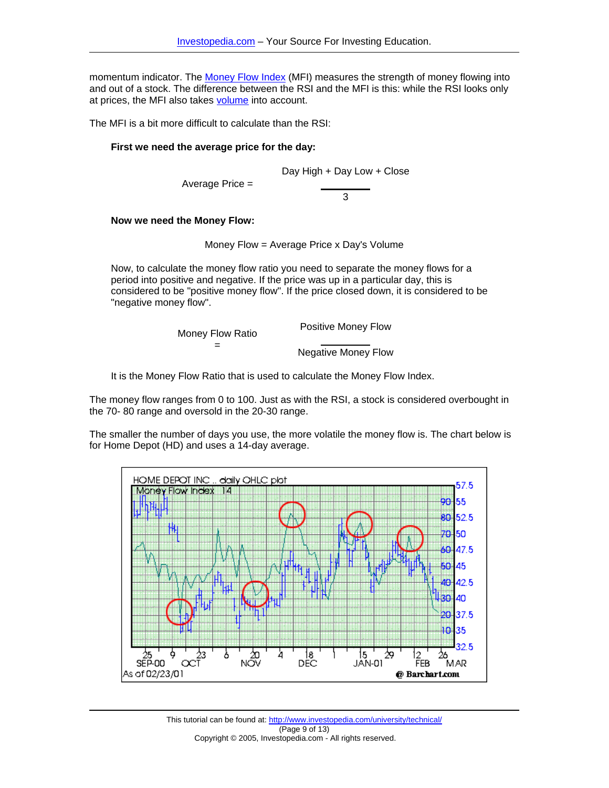momentum indicator. The [Money Flow Index](http://www.investopedia.com/terms/m/mfi.asp) (MFI) measures the strength of money flowing into and out of a stock. The difference between the RSI and the MFI is this: while the RSI looks only at prices, the MFI also takes [volume](http://www.investopedia.com/terms/v/volume.asp) into account.

The MFI is a bit more difficult to calculate than the RSI:

#### **First we need the average price for the day:**

Day High + Day Low + Close

Average Price =

3

#### **Now we need the Money Flow:**

Money Flow = Average Price x Day's Volume

Now, to calculate the money flow ratio you need to separate the money flows for a period into positive and negative. If the price was up in a particular day, this is considered to be "positive money flow". If the price closed down, it is considered to be "negative money flow".

| Money Flow Ratio | <b>Positive Money Flow</b> |
|------------------|----------------------------|
| =                | <b>Negative Money Flow</b> |

It is the Money Flow Ratio that is used to calculate the Money Flow Index.

The money flow ranges from 0 to 100. Just as with the RSI, a stock is considered overbought in the 70- 80 range and oversold in the 20-30 range.

The smaller the number of days you use, the more volatile the money flow is. The chart below is for Home Depot (HD) and uses a 14-day average.



This tutorial can be found at: http://www.investopedia.com/university/technical/ (Page 9 of 13) Copyright © 2005, Investopedia.com - All rights reserved.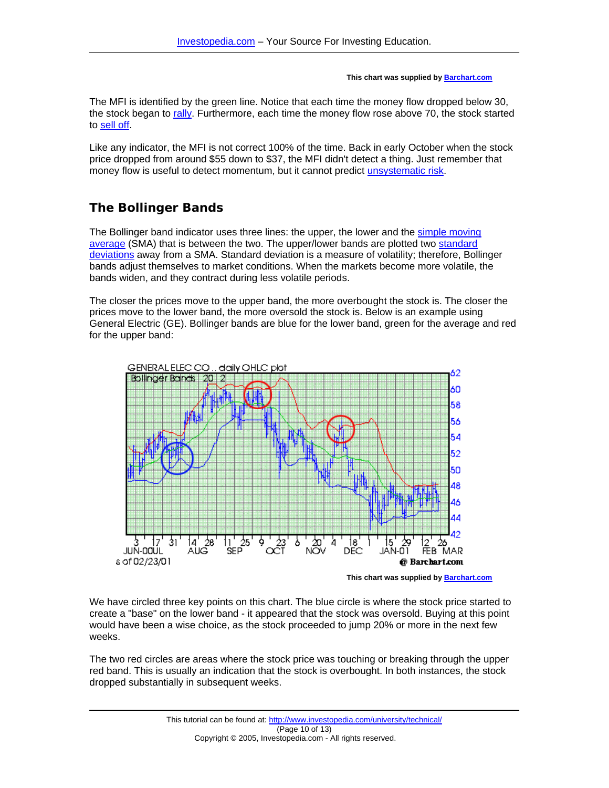#### **This chart was supplied by [Barchart.com](http://www.barchart.com/)**

The MFI is identified by the green line. Notice that each time the money flow dropped below 30, the stock began to [rally.](http://www.investopedia.com/terms/r/rally.asp) Furthermore, each time the money flow rose above 70, the stock started to [sell off](http://www.investopedia.com/terms/s/sell-off.asp).

Like any indicator, the MFI is not correct 100% of the time. Back in early October when the stock price dropped from around \$55 down to \$37, the MFI didn't detect a thing. Just remember that money flow is useful to detect momentum, but it cannot predict [unsystematic risk](http://www.investopedia.com/terms/u/unsystematicrisk.asp).

# **The Bollinger Bands**

The Bollinger band indicator uses three lines: the upper, the lower and the [simple moving](http://www.investopedia.com/terms/s/sma.asp)  [average](http://www.investopedia.com/terms/s/sma.asp) (SMA) that is between the two. The upper/lower bands are plotted two [standard](http://www.investopedia.com/terms/s/standarddeviation.asp)  [deviations](http://www.investopedia.com/terms/s/standarddeviation.asp) away from a SMA. Standard deviation is a measure of volatility; therefore, Bollinger bands adjust themselves to market conditions. When the markets become more volatile, the bands widen, and they contract during less volatile periods.

The closer the prices move to the upper band, the more overbought the stock is. The closer the prices move to the lower band, the more oversold the stock is. Below is an example using General Electric (GE). Bollinger bands are blue for the lower band, green for the average and red for the upper band:



**This chart was supplied by [Barchart.com](http://www.barchart.com/)**

We have circled three key points on this chart. The blue circle is where the stock price started to create a "base" on the lower band - it appeared that the stock was oversold. Buying at this point would have been a wise choice, as the stock proceeded to jump 20% or more in the next few weeks.

The two red circles are areas where the stock price was touching or breaking through the upper red band. This is usually an indication that the stock is overbought. In both instances, the stock dropped substantially in subsequent weeks.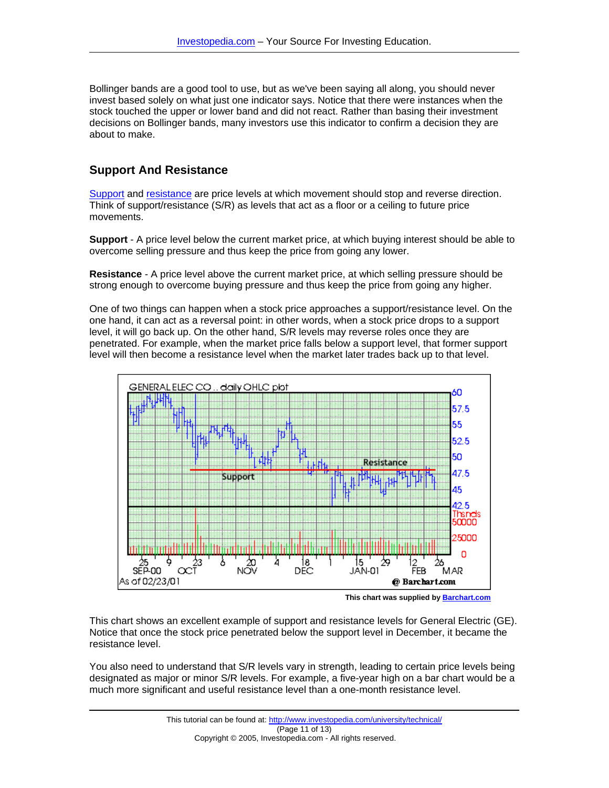Bollinger bands are a good tool to use, but as we've been saying all along, you should never invest based solely on what just one indicator says. Notice that there were instances when the stock touched the upper or lower band and did not react. Rather than basing their investment decisions on Bollinger bands, many investors use this indicator to confirm a decision they are about to make.

# **Support And Resistance**

[Support](http://www.investopedia.com/terms/s/support.asp) and [resistance](http://www.investopedia.com/terms/r/resistance.asp) are price levels at which movement should stop and reverse direction. Think of support/resistance (S/R) as levels that act as a floor or a ceiling to future price movements.

**Support** - A price level below the current market price, at which buying interest should be able to overcome selling pressure and thus keep the price from going any lower.

**Resistance** - A price level above the current market price, at which selling pressure should be strong enough to overcome buying pressure and thus keep the price from going any higher.

One of two things can happen when a stock price approaches a support/resistance level. On the one hand, it can act as a reversal point: in other words, when a stock price drops to a support level, it will go back up. On the other hand, S/R levels may reverse roles once they are penetrated. For example, when the market price falls below a support level, that former support level will then become a resistance level when the market later trades back up to that level.



**This chart was supplied by [Barchart.com](http://www.barchart.com/)**

This chart shows an excellent example of support and resistance levels for General Electric (GE). Notice that once the stock price penetrated below the support level in December, it became the resistance level.

You also need to understand that S/R levels vary in strength, leading to certain price levels being designated as major or minor S/R levels. For example, a five-year high on a bar chart would be a much more significant and useful resistance level than a one-month resistance level.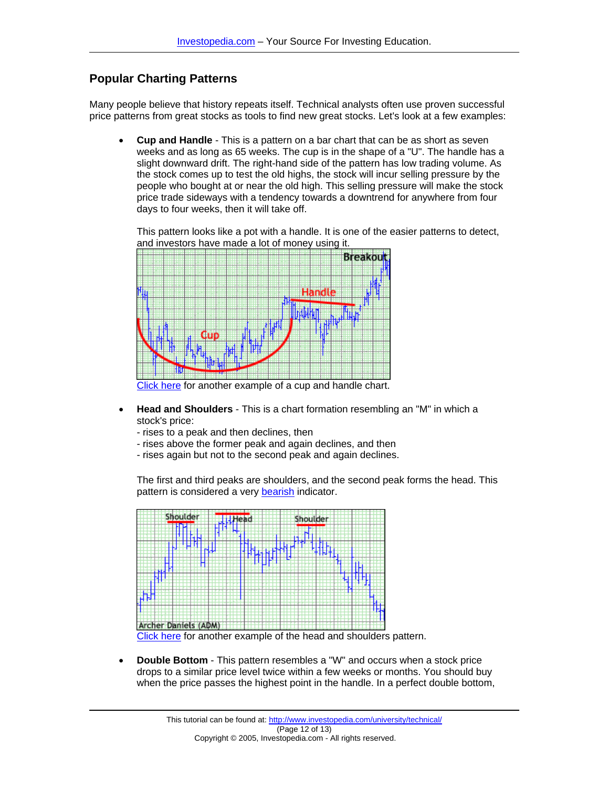## **Popular Charting Patterns**

Many people believe that history repeats itself. Technical analysts often use proven successful price patterns from great stocks as tools to find new great stocks. Let's look at a few examples:

• **Cup and Handle** - This is a pattern on a bar chart that can be as short as seven weeks and as long as 65 weeks. The cup is in the shape of a "U". The handle has a slight downward drift. The right-hand side of the pattern has low trading volume. As the stock comes up to test the old highs, the stock will incur selling pressure by the people who bought at or near the old high. This selling pressure will make the stock price trade sideways with a tendency towards a downtrend for anywhere from four days to four weeks, then it will take off.

This pattern looks like a pot with a handle. It is one of the easier patterns to detect, and investors have made a lot of money using it.



[Click here](http://www.investopedia.com/offsite.asp?URL=http://stockcharts.com/education/What/ChartAnalysis/cuphandle.html) for another example of a cup and handle chart.

- **Head and Shoulders** This is a chart formation resembling an "M" in which a stock's price:
	- rises to a peak and then declines, then
	- rises above the former peak and again declines, and then
	- rises again but not to the second peak and again declines.

The first and third peaks are shoulders, and the second peak forms the head. This pattern is considered a very [bearish](http://www.investopedia.com/terms/b/bear.asp) indicator.



[Click here](http://www.investopedia.com/offsite.asp?URL=http://stockcharts.com/education/What/ChartAnalysis/headShouldersTop-print.html) for another example of the head and shoulders pattern.

• **Double Bottom** - This pattern resembles a "W" and occurs when a stock price drops to a similar price level twice within a few weeks or months. You should buy when the price passes the highest point in the handle. In a perfect double bottom,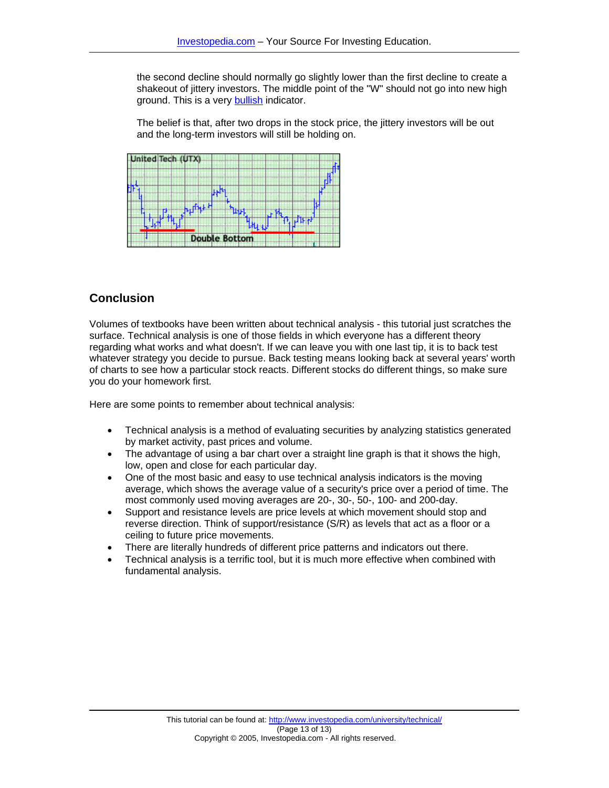the second decline should normally go slightly lower than the first decline to create a shakeout of jittery investors. The middle point of the "W" should not go into new high ground. This is a very [bullish](http://www.investopedia.com/terms/b/bull.asp) indicator.

The belief is that, after two drops in the stock price, the jittery investors will be out and the long-term investors will still be holding on.



# **Conclusion**

Volumes of textbooks have been written about technical analysis - this tutorial just scratches the surface. Technical analysis is one of those fields in which everyone has a different theory regarding what works and what doesn't. If we can leave you with one last tip, it is to back test whatever strategy you decide to pursue. Back testing means looking back at several years' worth of charts to see how a particular stock reacts. Different stocks do different things, so make sure you do your homework first.

Here are some points to remember about technical analysis:

- Technical analysis is a method of evaluating securities by analyzing statistics generated by market activity, past prices and volume.
- The advantage of using a bar chart over a straight line graph is that it shows the high, low, open and close for each particular day.
- One of the most basic and easy to use technical analysis indicators is the moving average, which shows the average value of a security's price over a period of time. The most commonly used moving averages are 20-, 30-, 50-, 100- and 200-day.
- Support and resistance levels are price levels at which movement should stop and reverse direction. Think of support/resistance (S/R) as levels that act as a floor or a ceiling to future price movements.
- There are literally hundreds of different price patterns and indicators out there.
- Technical analysis is a terrific tool, but it is much more effective when combined with fundamental analysis.